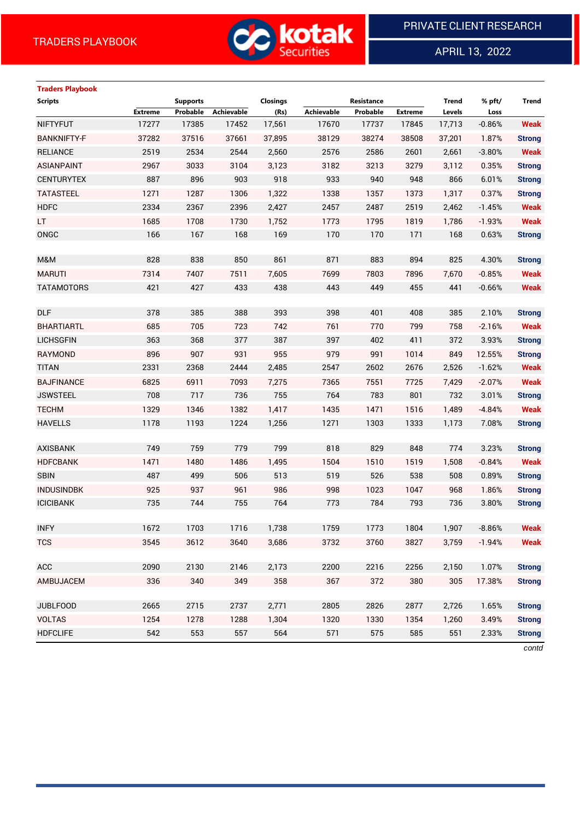

APRIL 13, 2022

 $\overline{a}$ 

# **Traders Playbook Scripts Supports Closings Resistance Trend % pft/ Trend Extreme Probable Achievable (Rs) Achievable Probable Extreme Levels Loss** NIFTYFUT 17277 17385 17452 17,561 17670 17737 17845 17,713 -0.86% **Weak** BANKNIFTY-F 37282 37516 37661 37,895 38129 38274 38508 37,201 1.87% **Strong** RELIANCE 2519 2534 2544 2,560 2576 2586 2601 2,661 -3.80% **Weak** ASIANPAINT 2967 3033 3104 3,123 3182 3213 3279 3,112 0.35% **Strong** CENTURYTEX 887 896 903 918 933 940 948 866 6.01% **Strong** TATASTEEL 1271 1287 1306 1,322 1338 1357 1373 1,317 0.37% **Strong** HDFC 2334 2367 2396 2,427 2457 2487 2519 2,462 -1.45% **Weak** LT 1685 1708 1730 1,752 1773 1795 1819 1,786 -1.93% **Weak** ONGC 166 167 168 169 170 170 171 168 0.63% **Strong** M&M 828 838 850 861 871 883 894 825 4.30% **Strong** MARUTI 7314 7407 7511 7,605 7699 7803 7896 7,670 -0.85% **Weak** TATAMOTORS 421 427 433 438 443 449 455 441 -0.66% **Weak** DLF 378 385 388 393 398 401 408 385 2.10% **Strong** BHARTIARTL 685 705 723 742 761 770 799 758 -2.16% **Weak** LICHSGFIN 363 368 377 387 397 402 411 372 3.93% **Strong** RAYMOND 896 907 931 955 979 991 1014 849 12.55% **Strong** TITAN 2331 2368 2444 2,485 2547 2602 2676 2,526 -1.62% **Weak** BAJFINANCE 6825 6911 7093 7,275 7365 7551 7725 7,429 -2.07% **Weak** JSWSTEEL 708 717 736 755 764 783 801 732 3.01% **Strong** TECHM 1329 1346 1382 1,417 1435 1471 1516 1,489 -4.84% **Weak** HAVELLS 1178 1193 1224 1,256 1271 1303 1333 1,173 7.08% **Strong** AXISBANK 749 759 779 799 818 829 848 774 3.23% **Strong** HDFCBANK 1471 1480 1486 1,495 1504 1510 1519 1,508 -0.84% **Weak** SBIN 487 499 506 513 519 526 538 508 0.89% **Strong** INDUSINDBK 925 937 961 986 998 1023 1047 968 1.86% **Strong** ICICIBANK 735 744 755 764 773 784 793 736 3.80% **Strong** INFY 1672 1703 1716 1,738 1759 1773 1804 1,907 -8.86% **Weak** TCS 3545 3612 3640 3,686 3732 3760 3827 3,759 -1.94% **Weak** ACC 2090 2130 2146 2,173 2200 2216 2256 2,150 1.07% **Strong** AMBUJACEM 336 340 349 358 367 372 380 305 17.38% **Strong** JUBLFOOD 2665 2715 2737 2,771 2805 2826 2877 2,726 1.65% **Strong** VOLTAS 1254 1278 1288 1,304 1320 1330 1354 1,260 3.49% **Strong** HDFCLIFE 542 553 557 564 571 575 585 551 2.33% **Strong**

*contd*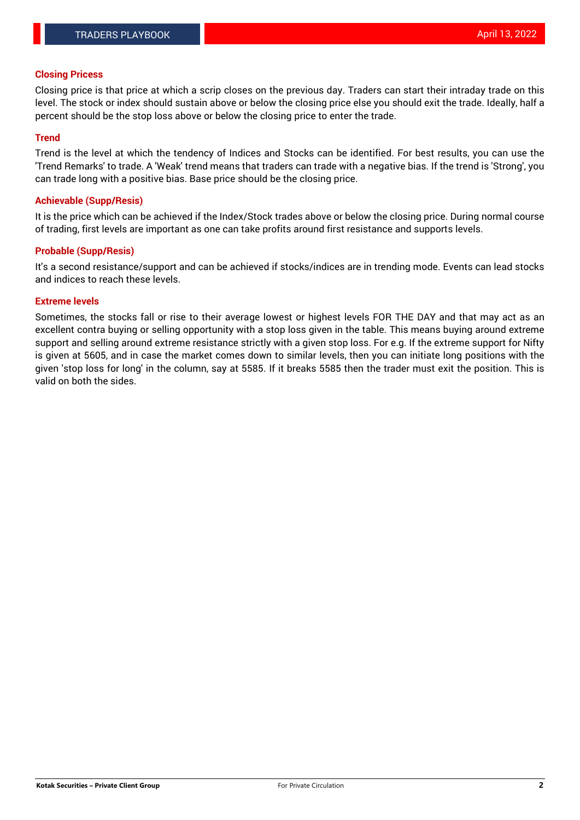#### **Closing Pricess**

Closing price is that price at which a scrip closes on the previous day. Traders can start their intraday trade on this level. The stock or index should sustain above or below the closing price else you should exit the trade. Ideally, half a percent should be the stop loss above or below the closing price to enter the trade.

### **Trend**

Trend is the level at which the tendency of Indices and Stocks can be identified. For best results, you can use the 'Trend Remarks' to trade. A 'Weak' trend means that traders can trade with a negative bias. If the trend is 'Strong', you can trade long with a positive bias. Base price should be the closing price.

#### **Achievable (Supp/Resis)**

It is the price which can be achieved if the Index/Stock trades above or below the closing price. During normal course of trading, first levels are important as one can take profits around first resistance and supports levels.

## **Probable (Supp/Resis)**

It's a second resistance/support and can be achieved if stocks/indices are in trending mode. Events can lead stocks and indices to reach these levels.

#### **Extreme levels**

Sometimes, the stocks fall or rise to their average lowest or highest levels FOR THE DAY and that may act as an excellent contra buying or selling opportunity with a stop loss given in the table. This means buying around extreme support and selling around extreme resistance strictly with a given stop loss. For e.g. If the extreme support for Nifty is given at 5605, and in case the market comes down to similar levels, then you can initiate long positions with the given 'stop loss for long' in the column, say at 5585. If it breaks 5585 then the trader must exit the position. This is valid on both the sides.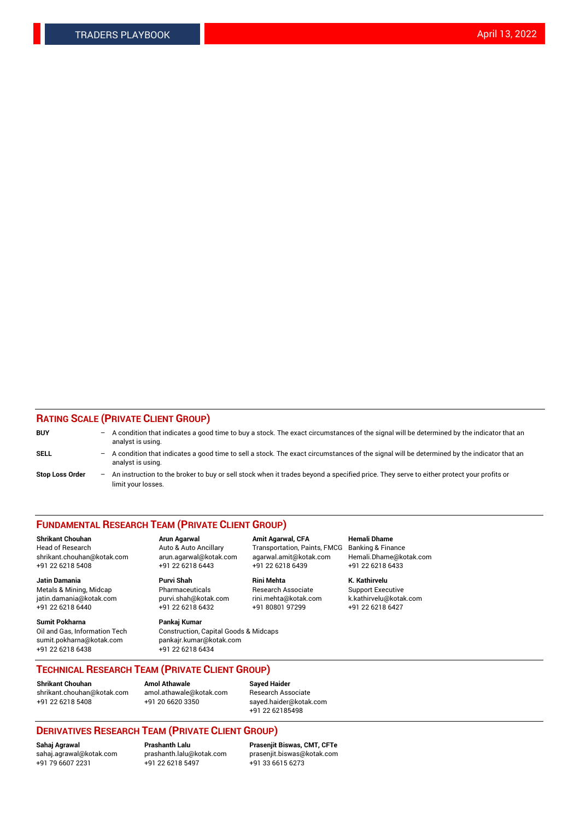## **RATING SCALE (PRIVATE CLIENT GROUP)**

| <b>BUY</b>             | -                 | A condition that indicates a good time to buy a stock. The exact circumstances of the signal will be determined by the indicator that an<br>analyst is using.  |
|------------------------|-------------------|----------------------------------------------------------------------------------------------------------------------------------------------------------------|
| SELL                   | -                 | A condition that indicates a good time to sell a stock. The exact circumstances of the signal will be determined by the indicator that an<br>analyst is using. |
| <b>Stop Loss Order</b> | $\qquad \qquad -$ | An instruction to the broker to buy or sell stock when it trades beyond a specified price. They serve to either protect your profits or<br>limit your losses.  |

#### **FUNDAMENTAL RESEARCH TEAM (PRIVATE CLIENT GROUP)**

**Shrikant Chouhan Arun Agarwal Amit Agarwal, CFA Hemali Dhame** Head of Research Auto & Auto Ancillary Transportation, Paints, FMCG Banking & Finance shrikant.chouhan@kotak.com arun.agarwal@kotak.com agarwal.amit@kotak.com Hemali.Dhame@kotak.com

**Jatin Damania Purvi Shah Rini Mehta K. Kathirvelu** Metals & Mining, Midcap **Pharmaceuticals** Research Associate Support Executive jatin.damania@kotak.com [purvi.shah@kotak.com](mailto:purvi.shah@kotak.com) rini.mehta@kotak.com [k.kathirvelu@kotak.com](mailto:k.kathirvelu@kotak.com)  $+91$  22 6218 6440  $+91$  22 6218 6432

**Sumit Pokharna Pankaj Kumar** sumit.pokharna@kotak.com pankajr.kumar@kotak.com +91 22 6218 6438 +91 22 6218 6434

Oil and Gas, Information Tech Construction, Capital Goods & Midcaps

+91 22 6218 5408 +91 22 6218 6443 +91 22 6218 6439 +91 22 6218 6433

**TECHNICAL RESEARCH TEAM (PRIVATE CLIENT GROUP)**

[shrikant.chouhan@kotak.com](mailto:shrikant.chouhan@kotak.com) [amol.athawale@kotak.com](mailto:amol.athawale@kotak.com) Research Associate +91 22 6218 5408 +91 20 6620 3350 [sayed.haider@kotak.com](mailto:sayed.haider@kotak.com)

**Shrikant Chouhan Amol Athawale Sayed Haider**

+91 22 62185498

# **DERIVATIVES RESEARCH TEAM (PRIVATE CLIENT GROUP)**

 $+91$  22 6218 5497

**Sahaj Agrawal Prashanth Lalu Prasenjit Biswas, CMT, CFTe** [sahaj.agrawal@kotak.com](mailto:sahaj.agrawal@kotak.com) [prashanth.lalu@kotak.com](mailto:prashanth.lalu@kotak.com) [prasenjit.biswas@kotak.com](mailto:prasenjit.biswas@kotak.com)